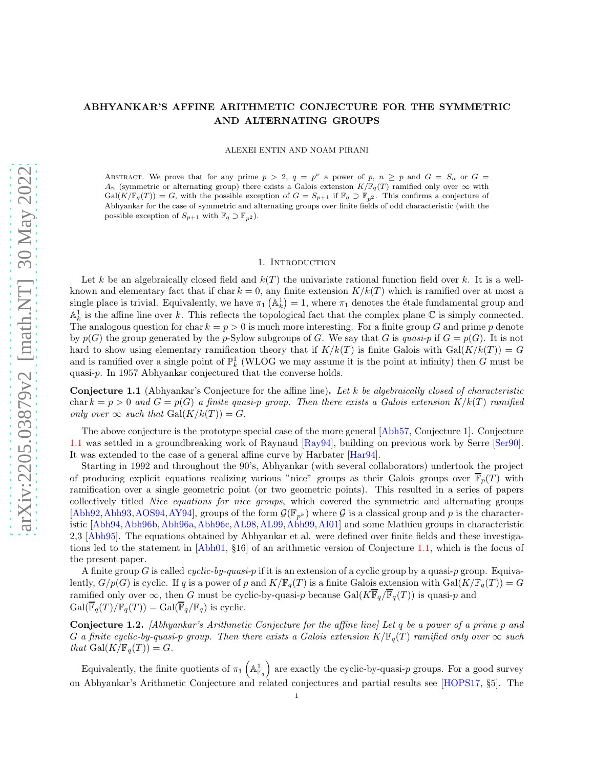# ABHYANKAR'S AFFINE ARITHMETIC CONJECTURE FOR THE SYMMETRIC AND ALTERNATING GROUPS

ALEXEI ENTIN AND NOAM PIRANI

ABSTRACT. We prove that for any prime  $p > 2$ ,  $q = p^{\nu}$  a power of p,  $n \geq p$  and  $G = S_n$  or  $G =$ A<sub>n</sub> (symmetric or alternating group) there exists a Galois extension  $K/\mathbb{F}_q(T)$  ramified only over  $\infty$  with  $Gal(K/\mathbb{F}_q(T)) = G$ , with the possible exception of  $G = S_{p+1}$  if  $\mathbb{F}_q \supset \mathbb{F}_{p^2}$ . This confirms a conjecture of Abhyankar for the case of symmetric and alternating groups over finite fields of odd characteristic (with the possible exception of  $S_{p+1}$  with  $\mathbb{F}_q \supset \mathbb{F}_{p^2}$ .

#### 1. INTRODUCTION

Let k be an algebraically closed field and  $k(T)$  the univariate rational function field over k. It is a wellknown and elementary fact that if char  $k = 0$ , any finite extension  $K/k(T)$  which is ramified over at most a single place is trivial. Equivalently, we have  $\pi_1$  ( $\mathbb{A}_k^1$ ) = 1, where  $\pi_1$  denotes the étale fundamental group and  $\mathbb{A}^1_k$  is the affine line over k. This reflects the topological fact that the complex plane  $\mathbb C$  is simply connected. The analogous question for char  $k = p > 0$  is much more interesting. For a finite group G and prime p denote by  $p(G)$  the group generated by the p-Sylow subgroups of G. We say that G is quasi-p if  $G = p(G)$ . It is not hard to show using elementary ramification theory that if  $K/k(T)$  is finite Galois with Gal $(K/k(T)) = G$ and is ramified over a single point of  $\mathbb{P}^1_k$  (WLOG we may assume it is the point at infinity) then G must be quasi-p. In 1957 Abhyankar conjectured that the converse holds.

<span id="page-0-0"></span>**Conjecture 1.1** (Abhyankar's Conjecture for the affine line). Let k be algebraically closed of characteristic char  $k = p > 0$  and  $G = p(G)$  a finite quasi-p group. Then there exists a Galois extension  $K/k(T)$  ramified only over  $\infty$  such that  $Gal(K/k(T)) = G$ .

The above conjecture is the prototype special case of the more general [\[Abh57,](#page-11-0) Conjecture 1]. Conjecture [1.1](#page-0-0) was settled in a groundbreaking work of Raynaud [\[Ray94\]](#page-12-0), building on previous work by Serre [\[Ser90\]](#page-12-1). It was extended to the case of a general affine curve by Harbater [\[Har94\]](#page-12-2).

Starting in 1992 and throughout the 90's, Abhyankar (with several collaborators) undertook the project of producing explicit equations realizing various "nice" groups as their Galois groups over  $\overline{\mathbb{F}}_p(T)$  with ramification over a single geometric point (or two geometric points). This resulted in a series of papers collectively titled Nice equations for nice groups, which covered the symmetric and alternating groups [\[Abh92,](#page-11-1) [Abh93,](#page-11-2) [AOS94,](#page-11-3) [AY94\]](#page-11-4), groups of the form  $\mathcal{G}(\mathbb{F}_{p^k})$  where  $\mathcal{G}$  is a classical group and p is the characteristic [\[Abh94,](#page-11-5)[Abh96b,](#page-11-6)[Abh96a,](#page-11-7)[Abh96c,](#page-11-8)[AL98,](#page-11-9)[AL99,](#page-11-10)[Abh99,](#page-11-11)[AI01\]](#page-11-12) and some Mathieu groups in characteristic 2,3 [\[Abh95\]](#page-11-13). The equations obtained by Abhyankar et al. were defined over finite fields and these investigations led to the statement in [\[Abh01,](#page-11-14) §16] of an arithmetic version of Conjecture [1.1,](#page-0-0) which is the focus of the present paper.

A finite group G is called cyclic-by-quasi-p if it is an extension of a cyclic group by a quasi-p group. Equivalently,  $G/p(G)$  is cyclic. If q is a power of p and  $K/\mathbb{F}_q(T)$  is a finite Galois extension with  $Gal(K/\mathbb{F}_q(T)) = G$ ramified only over  $\infty$ , then G must be cyclic-by-quasi-p because Gal( $K\overline{\mathbb{F}}_q/\overline{\mathbb{F}}_q(T)$ ) is quasi-p and  $Gal(\overline{\mathbb{F}}_q(T)/\mathbb{F}_q(T)) = Gal(\overline{\mathbb{F}}_q/\mathbb{F}_q)$  is cyclic.

<span id="page-0-1"></span>Conjecture 1.2. [Abhyankar's Arithmetic Conjecture for the affine line] Let q be a power of a prime p and G a finite cyclic-by-quasi-p group. Then there exists a Galois extension  $K/\mathbb{F}_q(T)$  ramified only over  $\infty$  such that  $Gal(K/\mathbb{F}_q(T)) = G$ .

Equivalently, the finite quotients of  $\pi_1\left(\mathbb{A}^1_{\mathbb{F}_q}\right)$  are exactly the cyclic-by-quasi-p groups. For a good survey on Abhyankar's Arithmetic Conjecture and related conjectures and partial results see [\[HOPS17,](#page-12-3) §5]. The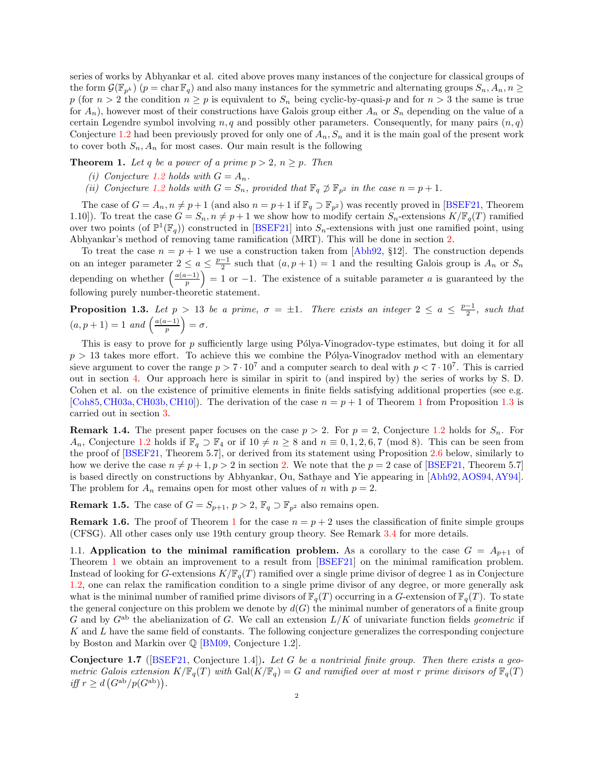series of works by Abhyankar et al. cited above proves many instances of the conjecture for classical groups of the form  $\mathcal{G}(\mathbb{F}_{p^k})$  ( $p = \text{char } \mathbb{F}_q$ ) and also many instances for the symmetric and alternating groups  $S_n, A_n, n \geq 1$ p (for  $n > 2$  the condition  $n \geq p$  is equivalent to  $S_n$  being cyclic-by-quasi-p and for  $n > 3$  the same is true for  $A_n$ ), however most of their constructions have Galois group either  $A_n$  or  $S_n$  depending on the value of a certain Legendre symbol involving  $n, q$  and possibly other parameters. Consequently, for many pairs  $(n, q)$ Conjecture [1.2](#page-0-1) had been previously proved for only one of  $A_n, S_n$  and it is the main goal of the present work to cover both  $S_n$ ,  $A_n$  for most cases. Our main result is the following

<span id="page-1-0"></span>**Theorem 1.** Let q be a power of a prime  $p > 2$ ,  $n \geq p$ . Then

- (i) Conjecture [1.2](#page-0-1) holds with  $G = A_n$ .
- (ii) Conjecture [1.2](#page-0-1) holds with  $G = S_n$ , provided that  $\mathbb{F}_q \not\supset \mathbb{F}_{p^2}$  in the case  $n = p + 1$ .

The case of  $G = A_n, n \neq p+1$  (and also  $n = p+1$  if  $\mathbb{F}_q \supset \mathbb{F}_{p^2}$ ) was recently proved in [\[BSEF21,](#page-11-15) Theorem 1.10]). To treat the case  $G = S_n$ ,  $n \neq p+1$  we show how to modify certain  $S_n$ -extensions  $K/\mathbb{F}_q(T)$  ramified over two points (of  $\mathbb{P}^1(\mathbb{F}_q)$ ) constructed in [\[BSEF21\]](#page-11-15) into  $S_n$ -extensions with just one ramified point, using Abhyankar's method of removing tame ramification (MRT). This will be done in section [2.](#page-2-0)

To treat the case  $n = p + 1$  we use a construction taken from [\[Abh92,](#page-11-1) §12]. The construction depends on an integer parameter  $2 \le a \le \frac{p-1}{2}$  such that  $(a, p+1) = 1$  and the resulting Galois group is  $A_n$  or  $S_n$ depending on whether  $\left(\frac{a(a-1)}{p}\right)$  $= 1$  or −1. The existence of a suitable parameter a is guaranteed by the following purely number-theoretic statement.

<span id="page-1-1"></span>**Proposition 1.3.** Let  $p > 13$  be a prime,  $\sigma = \pm 1$ . There exists an integer  $2 \le a \le \frac{p-1}{2}$ , such that  $(a, p + 1) = 1$  and  $\left(\frac{a(a-1)}{p}\right)$  $\big) = \sigma.$ 

This is easy to prove for  $p$  sufficiently large using Pólya-Vinogradov-type estimates, but doing it for all  $p > 13$  takes more effort. To achieve this we combine the Pólya-Vinogradov method with an elementary sieve argument to cover the range  $p > 7 \cdot 10^7$  and a computer search to deal with  $p < 7 \cdot 10^7$ . This is carried out in section [4.](#page-6-0) Our approach here is similar in spirit to (and inspired by) the series of works by S. D. Cohen et al. on the existence of primitive elements in finite fields satisfying additional properties (see e.g. [\[Coh85,](#page-12-4) [CH03a,](#page-11-16) [CH03b,](#page-11-17) [CH10\]](#page-11-18)). The derivation of the case  $n = p + 1$  $n = p + 1$  of Theorem 1 from Proposition [1.3](#page-1-1) is carried out in section [3.](#page-4-0)

<span id="page-1-3"></span>**Remark 1.4.** The present paper focuses on the case  $p > 2$ . For  $p = 2$ , Conjecture [1.2](#page-0-1) holds for  $S_n$ . For  $A_n$ , Conjecture [1.2](#page-0-1) holds if  $\mathbb{F}_q \supset \mathbb{F}_4$  or if  $10 \neq n \geq 8$  and  $n \equiv 0, 1, 2, 6, 7 \pmod{8}$ . This can be seen from the proof of [\[BSEF21,](#page-11-15) Theorem 5.7], or derived from its statement using Proposition [2.6](#page-3-0) below, similarly to how we derive the case  $n \neq p + 1, p > 2$  in section [2.](#page-2-0) We note that the  $p = 2$  case of [\[BSEF21,](#page-11-15) Theorem 5.7] is based directly on constructions by Abhyankar, Ou, Sathaye and Yie appearing in [\[Abh92,](#page-11-1) [AOS94,](#page-11-3) [AY94\]](#page-11-4). The problem for  $A_n$  remains open for most other values of n with  $p = 2$ .

**Remark 1.5.** The case of  $G = S_{p+1}, p > 2, \mathbb{F}_q \supset \mathbb{F}_{p^2}$  also remains open.

**Remark [1](#page-1-0).6.** The proof of Theorem 1 for the case  $n = p + 2$  uses the classification of finite simple groups (CFSG). All other cases only use 19th century group theory. See Remark [3.4](#page-5-0) for more details.

<span id="page-1-4"></span>1.1. Application to the minimal ramification problem. As a corollary to the case  $G = A_{p+1}$  of Theorem [1](#page-1-0) we obtain an improvement to a result from [\[BSEF21\]](#page-11-15) on the minimal ramification problem. Instead of looking for G-extensions  $K/\mathbb{F}_q(T)$  ramified over a single prime divisor of degree 1 as in Conjecture [1.2,](#page-0-1) one can relax the ramification condition to a single prime divisor of any degree, or more generally ask what is the minimal number of ramified prime divisors of  $\mathbb{F}_q(T)$  occurring in a G-extension of  $\mathbb{F}_q(T)$ . To state the general conjecture on this problem we denote by  $d(G)$  the minimal number of generators of a finite group G and by  $G<sup>ab</sup>$  the abelianization of G. We call an extension  $L/K$  of univariate function fields *geometric* if K and L have the same field of constants. The following conjecture generalizes the corresponding conjecture by Boston and Markin over  $\mathbb{Q}$  [\[BM09,](#page-11-19) Conjecture 1.2].

<span id="page-1-2"></span>**Conjecture 1.7** ( $[BSEF21, Conjecture 1.4]$  $[BSEF21, Conjecture 1.4]$ ). Let G be a nontrivial finite group. Then there exists a geometric Galois extension  $K/\mathbb{F}_q(T)$  with  $Gal(K/\mathbb{F}_q) = G$  and ramified over at most r prime divisors of  $\mathbb{F}_q(T)$ iff  $r \geq d \left( G^{ab} / p(G^{ab}) \right)$ .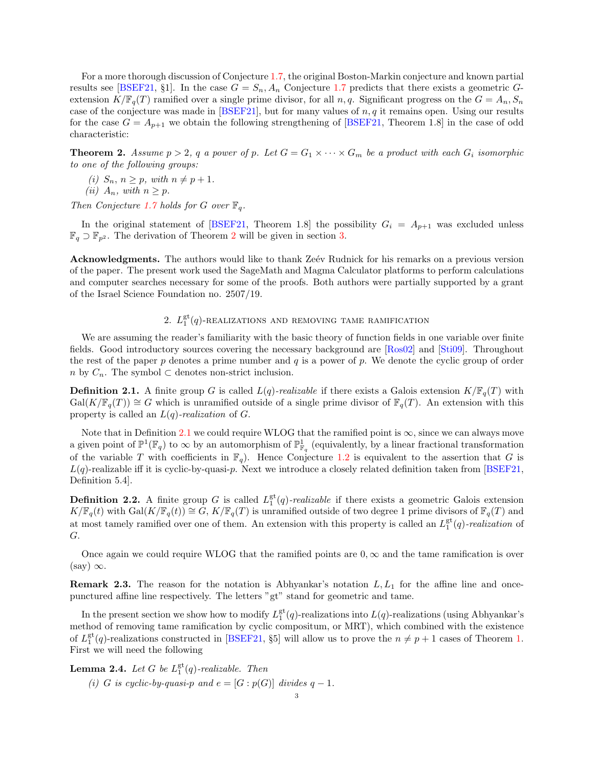For a more thorough discussion of Conjecture [1.7,](#page-1-2) the original Boston-Markin conjecture and known partial results see [\[BSEF21,](#page-11-15) §1]. In the case  $G = S_n$ ,  $A_n$  Conjecture [1.7](#page-1-2) predicts that there exists a geometric Gextension  $K/\mathbb{F}_q(T)$  ramified over a single prime divisor, for all n, q. Significant progress on the  $G = A_n, S_n$ case of the conjecture was made in  $[**BSEF21**],$  but for many values of  $n, q$  it remains open. Using our results for the case  $G = A_{p+1}$  we obtain the following strengthening of [\[BSEF21,](#page-11-15) Theorem 1.8] in the case of odd characteristic:

<span id="page-2-1"></span>**Theorem 2.** Assume  $p > 2$ , q a power of p. Let  $G = G_1 \times \cdots \times G_m$  be a product with each  $G_i$  isomorphic to one of the following groups:

(i)  $S_n$ ,  $n \geq p$ , with  $n \neq p + 1$ .

(ii)  $A_n$ , with  $n \geq p$ .

Then Conjecture [1.7](#page-1-2) holds for G over  $\mathbb{F}_q$ .

In the original statement of [\[BSEF21,](#page-11-15) Theorem 1.8] the possibility  $G_i = A_{p+1}$  was excluded unless  $\mathbb{F}_q \supset \mathbb{F}_{p^2}$  $\mathbb{F}_q \supset \mathbb{F}_{p^2}$  $\mathbb{F}_q \supset \mathbb{F}_{p^2}$ . The derivation of Theorem 2 will be given in section [3.](#page-4-0)

**Acknowledgments.** The authors would like to thank Zeev Rudnick for his remarks on a previous version of the paper. The present work used the SageMath and Magma Calculator platforms to perform calculations and computer searches necessary for some of the proofs. Both authors were partially supported by a grant of the Israel Science Foundation no. 2507/19.

# 2.  $L_1^{\text{gt}}(q)$ -realizations and removing tame ramification

<span id="page-2-0"></span>We are assuming the reader's familiarity with the basic theory of function fields in one variable over finite fields. Good introductory sources covering the necessary background are [\[Ros02\]](#page-12-5) and [\[Sti09\]](#page-12-6). Throughout the rest of the paper  $p$  denotes a prime number and  $q$  is a power of  $p$ . We denote the cyclic group of order n by  $C_n$ . The symbol ⊂ denotes non-strict inclusion.

<span id="page-2-2"></span>**Definition 2.1.** A finite group G is called  $L(q)$ -realizable if there exists a Galois extension  $K/\mathbb{F}_q(T)$  with  $Gal(K/\mathbb{F}_q(T)) \cong G$  which is unramified outside of a single prime divisor of  $\mathbb{F}_q(T)$ . An extension with this property is called an  $L(q)$ -realization of G.

Note that in Definition [2.1](#page-2-2) we could require WLOG that the ramified point is  $\infty$ , since we can always move a given point of  $\mathbb{P}^1(\mathbb{F}_q)$  to  $\infty$  by an automorphism of  $\mathbb{P}^1_{\mathbb{F}_q}$  (equivalently, by a linear fractional transformation of the variable T with coefficients in  $\mathbb{F}_q$ . Hence Conjecture [1.2](#page-0-1) is equivalent to the assertion that G is  $L(q)$ -realizable iff it is cyclic-by-quasi-p. Next we introduce a closely related definition taken from [\[BSEF21,](#page-11-15) Definition 5.4].

**Definition 2.2.** A finite group G is called  $L_1^{\text{gt}}(q)$ -realizable if there exists a geometric Galois extension  $K/\mathbb{F}_q(t)$  with  $Gal(K/\mathbb{F}_q(t)) \cong G$ ,  $K/\mathbb{F}_q(T)$  is unramified outside of two degree 1 prime divisors of  $\mathbb{F}_q(T)$  and at most tamely ramified over one of them. An extension with this property is called an  $L_1^{\text{gt}}(q)$ -realization of G.

Once again we could require WLOG that the ramified points are  $0, \infty$  and the tame ramification is over  $(say) \infty$ .

<span id="page-2-4"></span>**Remark 2.3.** The reason for the notation is Abhyankar's notation  $L, L_1$  for the affine line and oncepunctured affine line respectively. The letters "gt" stand for geometric and tame.

In the present section we show how to modify  $L_1^{\text{gt}}(q)$ -realizations into  $L(q)$ -realizations (using Abhyankar's method of removing tame ramification by cyclic compositum, or MRT), which combined with the existence of  $L_1^{\text{gt}}(q)$ -realizations constructed in [\[BSEF21,](#page-11-15) §5] will allow us to prove the  $n \neq p+1$  cases of Theorem [1.](#page-1-0) First we will need the following

<span id="page-2-3"></span>**Lemma 2.4.** Let G be  $L_1^{\text{gt}}(q)$ -realizable. Then (i) G is cyclic-by-quasi-p and  $e = [G : p(G)]$  divides  $q - 1$ .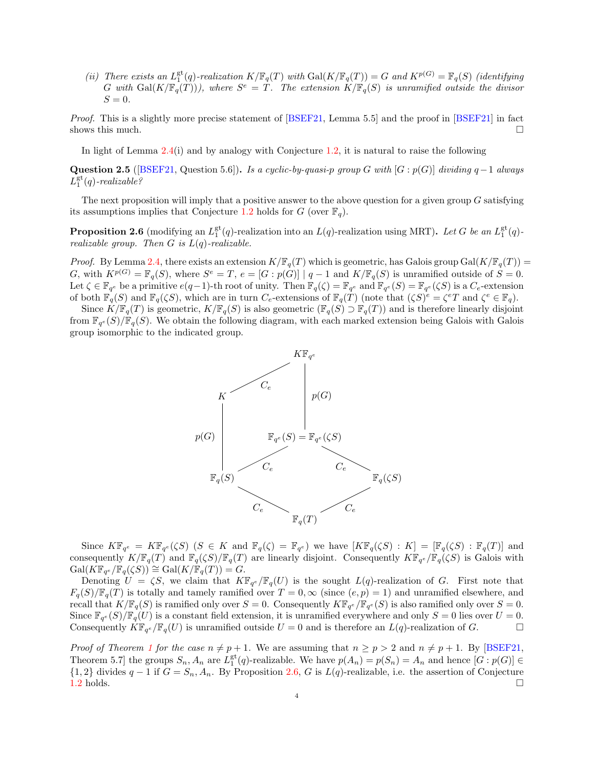(ii) There exists an  $L_1^{\text{gt}}(q)$ -realization  $K/\mathbb{F}_q(T)$  with  $Gal(K/\mathbb{F}_q(T)) = G$  and  $K^{p(G)} = \mathbb{F}_q(S)$  (identifying G with  $Gal(K/\mathbb{F}_q(T)))$ , where  $S^e = T$ . The extension  $K/\mathbb{F}_q(S)$  is unramified outside the divisor  $S=0.$ 

Proof. This is a slightly more precise statement of [\[BSEF21,](#page-11-15) Lemma 5.5] and the proof in [\[BSEF21\]](#page-11-15) in fact shows this much.  $\Box$ 

In light of Lemma  $2.4(i)$  $2.4(i)$  and by analogy with Conjecture [1.2,](#page-0-1) it is natural to raise the following

<span id="page-3-1"></span>Question 2.5 ([\[BSEF21,](#page-11-15) Question 5.6]). Is a cyclic-by-quasi-p group G with [G :  $p(G)$ ] dividing  $q-1$  always  $L_1^{\text{gt}}(q)$ -realizable?

The next proposition will imply that a positive answer to the above question for a given group  $G$  satisfying its assumptions implies that Conjecture [1.2](#page-0-1) holds for G (over  $\mathbb{F}_q$ ).

<span id="page-3-0"></span>**Proposition 2.6** (modifying an  $L_1^{\text{gt}}(q)$ -realization into an  $L(q)$ -realization using MRT). Let G be an  $L_1^{\text{gt}}(q)$ realizable group. Then  $G$  is  $L(q)$ -realizable.

*Proof.* By Lemma [2.4,](#page-2-3) there exists an extension  $K/\mathbb{F}_q(T)$  which is geometric, has Galois group Gal $(K/\mathbb{F}_q(T))$  = G, with  $K^{p(G)} = \mathbb{F}_q(S)$ , where  $S^e = T$ ,  $e = [G : p(G)] | q - 1$  and  $K/\mathbb{F}_q(S)$  is unramified outside of  $S = 0$ . Let  $\zeta \in \mathbb{F}_{q^e}$  be a primitive  $e(q-1)$ -th root of unity. Then  $\mathbb{F}_q(\zeta) = \mathbb{F}_{q^e}$  and  $\mathbb{F}_{q^e}(S) = \mathbb{F}_{q^e}(\zeta S)$  is a  $C_e$ -extension of both  $\mathbb{F}_q(S)$  and  $\mathbb{F}_q(\zeta S)$ , which are in turn  $C_e$ -extensions of  $\mathbb{F}_q(T)$  (note that  $(\zeta S)^e = \zeta^e T$  and  $\zeta^e \in \mathbb{F}_q$ ).

Since  $K/\mathbb{F}_q(T)$  is geometric,  $K/\mathbb{F}_q(S)$  is also geometric  $(\mathbb{F}_q(S) \supset \mathbb{F}_q(T))$  and is therefore linearly disjoint from  $\mathbb{F}_{q^e}(S)/\mathbb{F}_q(S)$ . We obtain the following diagram, with each marked extension being Galois with Galois group isomorphic to the indicated group.



Since  $K\mathbb{F}_{q^e} = K\mathbb{F}_{q^e}(\zeta S)$   $(S \in K \text{ and } \mathbb{F}_{q}(\zeta) = \mathbb{F}_{q^e})$  we have  $[K\mathbb{F}_{q}(\zeta S) : K] = [\mathbb{F}_{q}(\zeta S) : \mathbb{F}_{q}(T)]$  and consequently  $K/\mathbb{F}_q(T)$  and  $\mathbb{F}_q(\zeta S)/\mathbb{F}_q(T)$  are linearly disjoint. Consequently  $K/\mathbb{F}_{q^e}/\mathbb{F}_q(\zeta S)$  is Galois with  $Gal(K\mathbb{F}_{q^e}/\mathbb{F}_q(\zeta S)) \cong Gal(K/\mathbb{F}_q(T)) = G.$ 

Denoting  $U = \zeta S$ , we claim that  $K\mathbb{F}_{q^e}/\mathbb{F}_q(U)$  is the sought  $L(q)$ -realization of G. First note that  $F_q(S)/\mathbb{F}_q(T)$  is totally and tamely ramified over  $T = 0, \infty$  (since  $(e, p) = 1$ ) and unramified elsewhere, and recall that  $K/\mathbb{F}_q(S)$  is ramified only over  $S=0$ . Consequently  $K\mathbb{F}_{q^e}/\mathbb{F}_{q^e}(S)$  is also ramified only over  $S=0$ . Since  $\mathbb{F}_{q^e}(S)/\mathbb{F}_q(U)$  is a constant field extension, it is unramified everywhere and only  $S=0$  lies over  $U=0$ . Consequently  $K\mathbb{F}_{q^e}/\mathbb{F}_q(U)$  is unramified outside  $U=0$  and is therefore an  $L(q)$ -realization of G.

*Proof of Theorem [1](#page-1-0) for the case*  $n \neq p + 1$ *.* We are assuming that  $n \geq p > 2$  and  $n \neq p + 1$ . By [\[BSEF21,](#page-11-15) Theorem 5.7] the groups  $S_n$ ,  $A_n$  are  $L_1^{\text{gt}}(q)$ -realizable. We have  $p(A_n) = p(S_n) = A_n$  and hence  $[G : p(G)] \in$ {1, 2} divides  $q - 1$  if  $G = S_n, A_n$ . By Proposition [2.6,](#page-3-0) G is  $L(q)$ -realizable, i.e. the assertion of Conjecture 1.2 holds. [1.2](#page-0-1) holds.  $\square$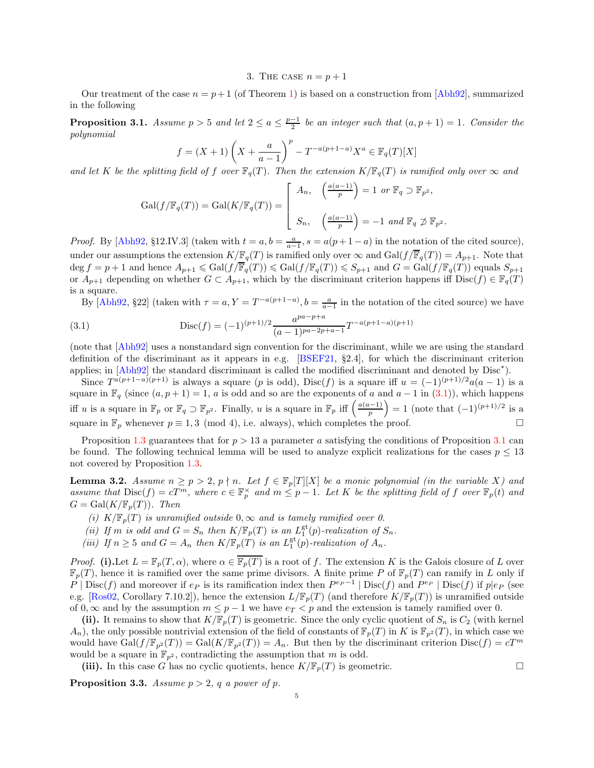3. THE CASE  $n = p + 1$ 

<span id="page-4-0"></span>Our treatment of the case  $n = p + 1$  (of Theorem [1\)](#page-1-0) is based on a construction from [\[Abh92\]](#page-11-1), summarized in the following

<span id="page-4-2"></span>**Proposition 3.1.** Assume  $p > 5$  and let  $2 \le a \le \frac{p-1}{2}$  be an integer such that  $(a, p + 1) = 1$ . Consider the polynomial

$$
f = (X+1)\left(X + \frac{a}{a-1}\right)^p - T^{-a(p+1-a)}X^a \in \mathbb{F}_q(T)[X]
$$

and let K be the splitting field of f over  $\mathbb{F}_q(T)$ . Then the extension  $K/\mathbb{F}_q(T)$  is ramified only over  $\infty$  and

$$
\operatorname{Gal}(f/\mathbb{F}_q(T)) = \operatorname{Gal}(K/\mathbb{F}_q(T)) = \begin{bmatrix} A_n, & \left(\frac{a(a-1)}{p}\right) = 1 \text{ or } \mathbb{F}_q \supset \mathbb{F}_{p^2}, \\ & \\ S_n, & \left(\frac{a(a-1)}{p}\right) = -1 \text{ and } \mathbb{F}_q \not\supset \mathbb{F}_{p^2}. \end{bmatrix}
$$

*Proof.* By [\[Abh92,](#page-11-1) §12.IV.3] (taken with  $t = a, b = \frac{a}{a-1}, s = a(p+1-a)$  in the notation of the cited source), under our assumptions the extension  $K/\mathbb{F}_q(T)$  is ramified only over  $\infty$  and  $Gal(f/\overline{\mathbb{F}}_q(T)) = A_{p+1}$ . Note that  $\deg f = p + 1$  and hence  $A_{p+1} \leqslant \text{Gal}(f/\overline{\mathbb{F}}_q(T)) \leqslant \text{Gal}(f/\mathbb{F}_q(T)) \leqslant S_{p+1}$  and  $G = \text{Gal}(f/\mathbb{F}_q(T))$  equals  $S_{p+1}$ or  $A_{p+1}$  depending on whether  $G \subset A_{p+1}$ , which by the discriminant criterion happens iff  $Disc(f) \in \mathbb{F}_q(T)$ is a square.

<span id="page-4-1"></span>By [\[Abh92,](#page-11-1) §22] (taken with  $\tau = a, Y = T^{-a(p+1-a)}, b = \frac{a}{a-1}$  in the notation of the cited source) we have

(3.1) 
$$
\text{Disc}(f) = (-1)^{(p+1)/2} \frac{a^{pa-p+a}}{(a-1)^{pa-2p+a-1}} T^{-a(p+1-a)(p+1)}
$$

(note that [\[Abh92\]](#page-11-1) uses a nonstandard sign convention for the discriminant, while we are using the standard definition of the discriminant as it appears in e.g.  $[BSEF21, §2.4]$ , for which the discriminant criterion applies; in [\[Abh92\]](#page-11-1) the standard discriminant is called the modified discriminant and denoted by Disc<sup>∗</sup> ).

Since  $T^{a(p+1-a)(p+1)}$  is always a square  $(p \text{ is odd})$ ,  $Disc(f)$  is a square iff  $u = (-1)^{(p+1)/2}a(a-1)$  is a square in  $\mathbb{F}_q$  (since  $(a, p+1) = 1$ , a is odd and so are the exponents of a and  $a - 1$  in [\(3.1\)](#page-4-1)), which happens iff u is a square in  $\mathbb{F}_p$  or  $\mathbb{F}_q \supset \mathbb{F}_{p^2}$ . Finally, u is a square in  $\mathbb{F}_p$  iff  $\left(\frac{a(a-1)}{p}\right)$  $= 1$  (note that  $(-1)^{(p+1)/2}$  is a square in  $\mathbb{F}_p$  whenever  $p \equiv 1, 3 \pmod{4}$ , i.e. always), which completes the proof.

Proposition [1.3](#page-1-1) guarantees that for  $p > 13$  a parameter a satisfying the conditions of Proposition [3.1](#page-4-2) can be found. The following technical lemma will be used to analyze explicit realizations for the cases  $p \leq 13$ not covered by Proposition [1.3.](#page-1-1)

<span id="page-4-3"></span>**Lemma 3.2.** Assume  $n \ge p > 2$ ,  $p \nmid n$ . Let  $f \in \mathbb{F}_p[T][X]$  be a monic polynomial (in the variable X) and assume that  $Disc(f) = cT^m$ , where  $c \in \mathbb{F}_p^{\times}$  and  $m \leq p-1$ . Let K be the splitting field of f over  $\mathbb{F}_p(t)$  and  $G = \text{Gal}(K/\mathbb{F}_p(T))$ . Then

- (i)  $K/\mathbb{F}_p(T)$  is unramified outside  $0, \infty$  and is tamely ramified over 0.
- (ii) If m is odd and  $G = S_n$  then  $K/\mathbb{F}_p(T)$  is an  $L_1^{\text{gt}}(p)$ -realization of  $S_n$ .
- (iii) If  $n \geq 5$  and  $G = A_n$  then  $K/\mathbb{F}_p(T)$  is an  $L_1^{\text{gt}}(p)$ -realization of  $A_n$ .

*Proof.* (i). Let  $L = \mathbb{F}_p(T, \alpha)$ , where  $\alpha \in \overline{\mathbb{F}_p(T)}$  is a root of f. The extension K is the Galois closure of L over  $\mathbb{F}_p(T)$ , hence it is ramified over the same prime divisors. A finite prime P of  $\mathbb{F}_p(T)$  can ramify in L only if  $P | Disc(f)$  and moreover if  $e_P$  is its ramification index then  $P^{e_P-1} | Disc(f)$  and  $P^{e_P} | Disc(f)$  if  $p|e_P$  (see e.g. [\[Ros02,](#page-12-5) Corollary 7.10.2]), hence the extension  $L/\mathbb{F}_p(T)$  (and therefore  $K/\mathbb{F}_p(T)$ ) is unramified outside of 0,  $\infty$  and by the assumption  $m \leq p-1$  we have  $e_T < p$  and the extension is tamely ramified over 0.

(ii). It remains to show that  $K/\mathbb{F}_p(T)$  is geometric. Since the only cyclic quotient of  $S_n$  is  $C_2$  (with kernel  $A_n$ , the only possible nontrivial extension of the field of constants of  $\mathbb{F}_p(T)$  in K is  $\mathbb{F}_{p^2}(T)$ , in which case we would have  $Gal(f/\mathbb{F}_{p^2}(T)) = Gal(K/\mathbb{F}_{p^2}(T)) = A_n$ . But then by the discriminant criterion  $Disc(f) = cT^m$ would be a square in  $\mathbb{F}_{p^2}$ , contradicting the assumption that m is odd.

(iii). In this case G has no cyclic quotients, hence  $K/\mathbb{F}_p(T)$  is geometric.

<span id="page-4-4"></span>**Proposition 3.3.** Assume  $p > 2$ , q a power of p.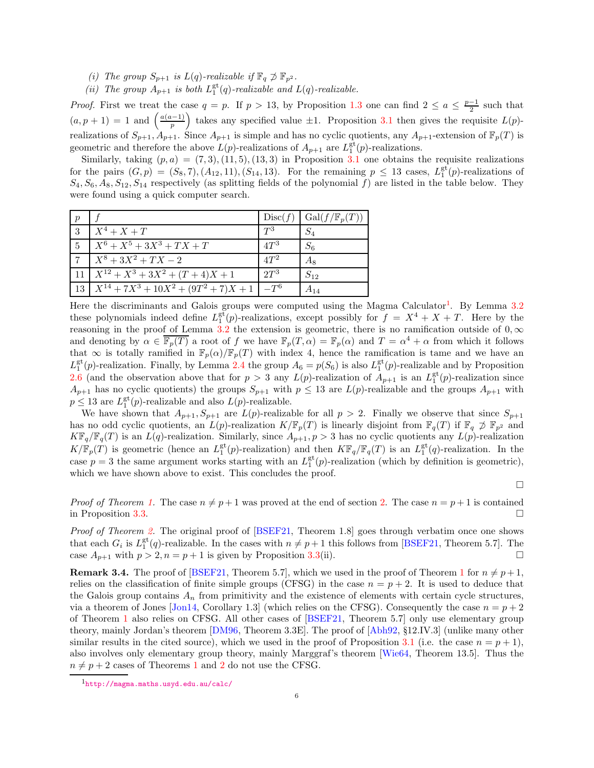- (i) The group  $S_{p+1}$  is  $L(q)$ -realizable if  $\mathbb{F}_q \not\supset \mathbb{F}_{p^2}$ .
- (ii) The group  $A_{p+1}$  is both  $L_1^{\text{gt}}(q)$ -realizable and  $L(q)$ -realizable.

*Proof.* First we treat the case  $q = p$ . If  $p > 13$ , by Proposition [1.3](#page-1-1) one can find  $2 \le a \le \frac{p-1}{2}$  such that  $(a, p + 1) = 1$  and  $\left(\frac{a(a-1)}{p}\right)$ ) takes any specified value  $\pm 1$ . Proposition [3.1](#page-4-2) then gives the requisite  $L(p)$ realizations of  $S_{p+1}$ ,  $A_{p+1}$ . Since  $A_{p+1}$  is simple and has no cyclic quotients, any  $A_{p+1}$ -extension of  $\mathbb{F}_p(T)$  is geometric and therefore the above  $L(p)$ -realizations of  $A_{p+1}$  are  $L_1^{\text{gt}}(p)$ -realizations.

Similarly, taking  $(p, a) = (7, 3), (11, 5), (13, 3)$  in Proposition [3.1](#page-4-2) one obtains the requisite realizations for the pairs  $(G, p) = (S_8, 7), (A_{12}, 11), (S_{14}, 13)$ . For the remaining  $p \leq 13$  cases,  $L_1^{\text{gt}}(p)$ -realizations of  $S_4, S_6, A_8, S_{12}, S_{14}$  respectively (as splitting fields of the polynomial f) are listed in the table below. They were found using a quick computer search.

| $\boldsymbol{p}$ |                                           | Disc(f)         | $Gal(f/\mathbb{F}_p(T))$ |
|------------------|-------------------------------------------|-----------------|--------------------------|
| 3                | $X^4 + X + T$                             | $T^3$           | $S_{\it 4}$              |
| $\overline{5}$   | $X^6 + X^5 + 3X^3 + TX + T$               | 4T <sup>3</sup> | $S_6$                    |
|                  | $X^8 + 3X^2 + TX - 2$                     | $AT^2$          | Aя                       |
| 11               | $X^{12} + X^3 + 3X^2 + (T+4)X + 1$        | 2T <sup>3</sup> | $S_{12}$                 |
| 13               | $X^{14} + 7X^3 + 10X^2 + (9T^2 + 7)X + 1$ | $-T^6$          | $A_{14}$                 |

Here the discriminants and Galois groups were computed using the Magma Calculator<sup>[1](#page-5-1)</sup>. By Lemma [3.2](#page-4-3) these polynomials indeed define  $L_1^{\text{gt}}(p)$ -realizations, except possibly for  $f = X^4 + X + T$ . Here by the reasoning in the proof of Lemma [3.2](#page-4-3) the extension is geometric, there is no ramification outside of  $0, \infty$ and denoting by  $\alpha \in \overline{\mathbb{F}_p(T)}$  a root of f we have  $\mathbb{F}_p(T,\alpha) = \mathbb{F}_p(\alpha)$  and  $T = \alpha^4 + \alpha$  from which it follows that  $\infty$  is totally ramified in  $\mathbb{F}_p(\alpha)/\mathbb{F}_p(T)$  with index 4, hence the ramification is tame and we have an  $L_1^{\text{gt}}(p)$ -realization. Finally, by Lemma [2.4](#page-2-3) the group  $A_6 = p(S_6)$  is also  $L_1^{\text{gt}}(p)$ -realizable and by Proposition [2.6](#page-3-0) (and the observation above that for  $p > 3$  any  $L(p)$ -realization of  $A_{p+1}$  is an  $L_1^{\text{gt}}(p)$ -realization since  $A_{p+1}$  has no cyclic quotients) the groups  $S_{p+1}$  with  $p \le 13$  are  $L(p)$ -realizable and the groups  $A_{p+1}$  with  $p \leq 13$  are  $L_1^{\text{gt}}(p)$ -realizable and also  $L(p)$ -realizable.

We have shown that  $A_{p+1}, S_{p+1}$  are  $L(p)$ -realizable for all  $p > 2$ . Finally we observe that since  $S_{p+1}$ has no odd cyclic quotients, an  $L(p)$ -realization  $K/\mathbb{F}_p(T)$  is linearly disjoint from  $\mathbb{F}_q(T)$  if  $\mathbb{F}_q \not\supset \mathbb{F}_{p^2}$  and  $K\mathbb{F}_q/\mathbb{F}_q(T)$  is an  $L(q)$ -realization. Similarly, since  $A_{p+1}, p > 3$  has no cyclic quotients any  $L(p)$ -realization  $K/\mathbb{F}_p(T)$  is geometric (hence an  $L_1^{\text{gt}}(p)$ -realization) and then  $K\mathbb{F}_q/\mathbb{F}_q(T)$  is an  $L_1^{\text{gt}}(q)$ -realization. In the case  $p = 3$  the same argument works starting with an  $L_1^{\text{gt}}(p)$ -realization (which by definition is geometric), which we have shown above to exist. This concludes the proof.

 $\Box$ 

*Proof of Theorem [1.](#page-1-0)* The case  $n \neq p+1$  was proved at the end of section [2.](#page-2-0) The case  $n = p+1$  is contained in Proposition 3.3. in Proposition [3.3.](#page-4-4)

Proof of Theorem [2.](#page-2-1) The original proof of [\[BSEF21,](#page-11-15) Theorem 1.8] goes through verbatim once one shows that each  $G_i$  is  $L_1^{\text{gt}}(q)$ -realizable. In the cases with  $n \neq p+1$  this follows from [\[BSEF21,](#page-11-15) Theorem 5.7]. The case  $A_{p+1}$  with  $p > 2, n = p+1$  is given by Proposition [3.3\(](#page-4-4)ii).

<span id="page-5-0"></span>**Remark 3.4.** The proof of [\[BSEF21,](#page-11-15) Theorem 5.7], which we used in the proof of Theorem [1](#page-1-0) for  $n \neq p + 1$ , relies on the classification of finite simple groups (CFSG) in the case  $n = p + 2$ . It is used to deduce that the Galois group contains  $A_n$  from primitivity and the existence of elements with certain cycle structures, via a theorem of Jones [\[Jon14,](#page-12-7) Corollary 1.3] (which relies on the CFSG). Consequently the case  $n = p + 2$ of Theorem [1](#page-1-0) also relies on CFSG. All other cases of [\[BSEF21,](#page-11-15) Theorem 5.7] only use elementary group theory, mainly Jordan's theorem [\[DM96,](#page-12-8) Theorem 3.3E]. The proof of [\[Abh92,](#page-11-1) §12.IV.3] (unlike many other similar results in the cited source), which we used in the proof of Proposition [3.1](#page-4-2) (i.e. the case  $n = p + 1$ ), also involves only elementary group theory, mainly Marggraf's theorem [\[Wie64,](#page-12-9) Theorem 13.5]. Thus the  $n \neq p + 2$  $n \neq p + 2$  cases of Theorems [1](#page-1-0) and 2 do not use the CFSG.

<span id="page-5-1"></span><sup>1</sup><http://magma.maths.usyd.edu.au/calc/>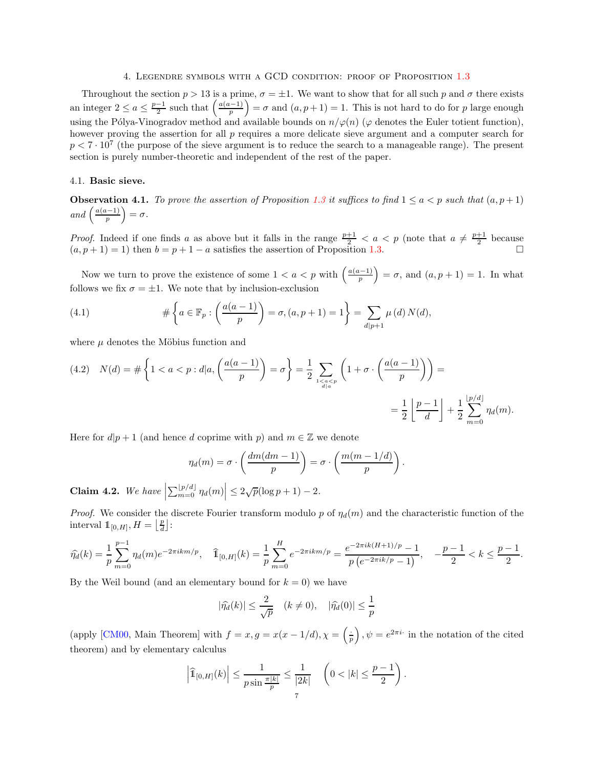#### 4. Legendre symbols with a GCD condition: proof of Proposition [1.3](#page-1-1)

<span id="page-6-0"></span>Throughout the section  $p > 13$  is a prime,  $\sigma = \pm 1$ . We want to show that for all such p and  $\sigma$  there exists an integer  $2 \le a \le \frac{p-1}{2}$  such that  $\left(\frac{a(a-1)}{p}\right)$  $= \sigma$  and  $(a, p + 1) = 1$ . This is not hard to do for p large enough using the Pólya-Vinogradov method and available bounds on  $n/\varphi(n)$  ( $\varphi$  denotes the Euler totient function), however proving the assertion for all  $p$  requires a more delicate sieve argument and a computer search for  $p < 7 \cdot 10^7$  (the purpose of the sieve argument is to reduce the search to a manageable range). The present section is purely number-theoretic and independent of the rest of the paper.

## 4.1. Basic sieve.

**Observation 4.1.** To prove the assertion of Proposition [1.3](#page-1-1) it suffices to find  $1 \le a < p$  such that  $(a, p+1)$ and  $\left(\frac{a(a-1)}{p}\right)$  $\big) = \sigma.$ 

*Proof.* Indeed if one finds a as above but it falls in the range  $\frac{p+1}{2} < a < p$  (note that  $a \neq \frac{p+1}{2}$  because  $(a, p + 1) = 1$ ) then  $b = p + 1 - a$  satisfies the assertion of Proposition [1.3.](#page-1-1)

Now we turn to prove the existence of some  $1 < a < p$  with  $\left(\frac{a(a-1)}{p}\right)$  $= \sigma$ , and  $(a, p + 1) = 1$ . In what follows we fix  $\sigma = \pm 1$ . We note that by inclusion-exclusion

<span id="page-6-2"></span>(4.1) 
$$
\#\left\{a \in \mathbb{F}_p : \left(\frac{a(a-1)}{p}\right) = \sigma, (a, p+1) = 1\right\} = \sum_{d|p+1} \mu(d) N(d),
$$

where  $\mu$  denotes the Möbius function and

<span id="page-6-1"></span>(4.2) 
$$
N(d) = \# \left\{ 1 < a < p : d | a, \left( \frac{a(a-1)}{p} \right) = \sigma \right\} = \frac{1}{2} \sum_{\substack{1 < a < p \\ d | a}} \left( 1 + \sigma \cdot \left( \frac{a(a-1)}{p} \right) \right) = \\ = \frac{1}{2} \left\lfloor \frac{p-1}{d} \right\rfloor + \frac{1}{2} \sum_{m=0}^{\lfloor p/d \rfloor} \eta_d(m).
$$

Here for  $d|p+1$  (and hence d coprime with p) and  $m \in \mathbb{Z}$  we denote

$$
\eta_d(m) = \sigma \cdot \left(\frac{dm(dm-1)}{p}\right) = \sigma \cdot \left(\frac{m(m-1/d)}{p}\right).
$$

<span id="page-6-3"></span>**Claim 4.2.** We have  $\left|\sum_{m=0}^{\lfloor p/d \rfloor} \eta_d(m)\right| \leq 2\sqrt{p}(\log p + 1) - 2$ .

*Proof.* We consider the discrete Fourier transform modulo p of  $\eta_d(m)$  and the characteristic function of the interval  $1\!\!1_{[0,H]}, H = \left\lfloor \frac{p}{d} \right\rfloor$ :

$$
\widehat{\eta_d}(k) = \frac{1}{p} \sum_{m=0}^{p-1} \eta_d(m) e^{-2\pi i k m/p}, \quad \widehat{\mathbb{1}}_{[0,H]}(k) = \frac{1}{p} \sum_{m=0}^{H} e^{-2\pi i k m/p} = \frac{e^{-2\pi i k (H+1)/p} - 1}{p \left(e^{-2\pi i k/p} - 1\right)}, \quad -\frac{p-1}{2} < k \le \frac{p-1}{2}.
$$

By the Weil bound (and an elementary bound for  $k = 0$ ) we have

$$
|\widehat{\eta_d}(k)| \le \frac{2}{\sqrt{p}} \quad (k \neq 0), \quad |\widehat{\eta_d}(0)| \le \frac{1}{p}
$$

(apply [\[CM00,](#page-12-10) Main Theorem] with  $f = x, g = x(x - 1/d), \chi = \left(\frac{1}{p}\right)^2$  $\big)$ ,  $\psi = e^{2\pi i \cdot}$  in the notation of the cited theorem) and by elementary calculus

$$
\left|\widehat{\mathbb{1}}_{[0,H]}(k)\right| \leq \frac{1}{p\sin\frac{\pi|k|}{p}} \leq \frac{1}{|2k|} \quad \left(0 < |k| \leq \frac{p-1}{2}\right).
$$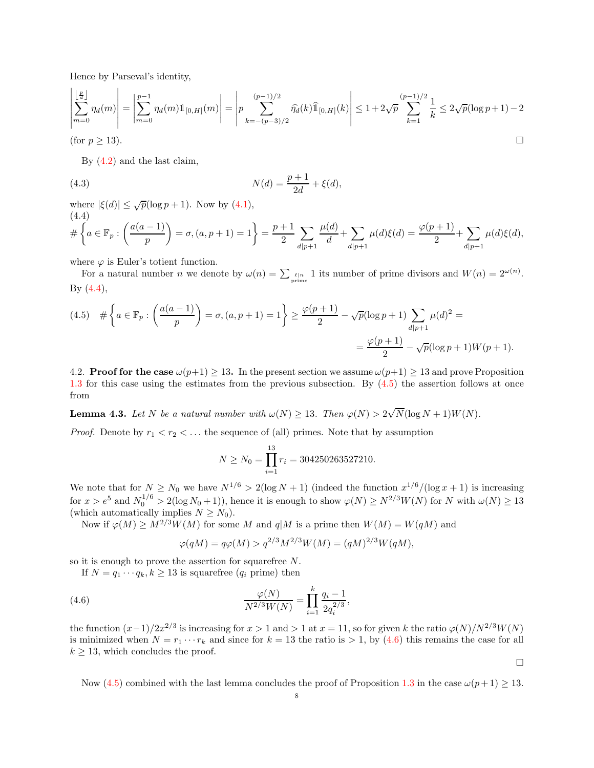Hence by Parseval's identity,

$$
\left| \sum_{m=0}^{\lfloor \frac{p}{d} \rfloor} \eta_d(m) \right| = \left| \sum_{m=0}^{p-1} \eta_d(m) 1\!\!1_{[0,H]}(m) \right| = \left| p \sum_{k=-(p-3)/2}^{(p-1)/2} \widehat{\eta_d}(k) 1\!\!1_{[0,H]}(k) \right| \le 1 + 2\sqrt{p} \sum_{k=1}^{(p-1)/2} \frac{1}{k} \le 2\sqrt{p} (\log p + 1) - 2
$$
\n(for  $p \ge 13$ ).

\n

<span id="page-7-3"></span>By [\(4.2\)](#page-6-1) and the last claim,

(4.3) 
$$
N(d) = \frac{p+1}{2d} + \xi(d),
$$

where  $|\xi(d)| \leq \sqrt{p}(\log p + 1)$ . Now by  $(4.1)$ , (4.4)

<span id="page-7-0"></span>
$$
\mathcal{H}\left\{a \in \mathbb{F}_p : \left(\frac{a(a-1)}{p}\right) = \sigma, (a, p+1) = 1\right\} = \frac{p+1}{2} \sum_{d|p+1} \frac{\mu(d)}{d} + \sum_{d|p+1} \mu(d)\xi(d) = \frac{\varphi(p+1)}{2} + \sum_{d|p+1} \mu(d)\xi(d),
$$

where  $\varphi$  is Euler's totient function.

For a natural number *n* we denote by  $\omega(n) = \sum_{p \text{time}} 1$  its number of prime divisors and  $W(n) = 2^{\omega(n)}$ . By [\(4.4\)](#page-7-0),

<span id="page-7-1"></span>
$$
(4.5) \quad # \left\{ a \in \mathbb{F}_p : \left( \frac{a(a-1)}{p} \right) = \sigma, (a, p+1) = 1 \right\} \ge \frac{\varphi(p+1)}{2} - \sqrt{p} (\log p + 1) \sum_{d|p+1} \mu(d)^2 =
$$

$$
= \frac{\varphi(p+1)}{2} - \sqrt{p} (\log p + 1) W(p+1).
$$

4.2. **Proof for the case**  $\omega(p+1) \geq 13$ . In the present section we assume  $\omega(p+1) \geq 13$  and prove Proposition [1.3](#page-1-1) for this case using the estimates from the previous subsection. By [\(4.5\)](#page-7-1) the assertion follows at once from

**Lemma 4.3.** Let N be a natural number with  $\omega(N) \ge 13$ . Then  $\varphi(N) > 2\sqrt{N}(\log N + 1)W(N)$ .

*Proof.* Denote by  $r_1 < r_2 < \ldots$  the sequence of (all) primes. Note that by assumption

$$
N \ge N_0 = \prod_{i=1}^{13} r_i = 304250263527210.
$$

We note that for  $N \ge N_0$  we have  $N^{1/6} > 2(\log N + 1)$  (indeed the function  $x^{1/6}/(\log x + 1)$  is increasing for  $x > e^5$  and  $N_0^{1/6} > 2(\log N_0 + 1)$ , hence it is enough to show  $\varphi(N) \ge N^{2/3}W(N)$  for N with  $\omega(N) \ge 13$ (which automatically implies  $N \geq N_0$ ).

Now if  $\varphi(M) \ge M^{2/3}W(M)$  for some M and  $q|M$  is a prime then  $W(M) = W(qM)$  and

<span id="page-7-2"></span>
$$
\varphi(qM) = q\varphi(M) > q^{2/3}M^{2/3}W(M) = (qM)^{2/3}W(qM),
$$

so it is enough to prove the assertion for squarefree N.

If  $N = q_1 \cdots q_k, k \ge 13$  is squarefree  $(q_i \text{ prime})$  then

(4.6) 
$$
\frac{\varphi(N)}{N^{2/3}W(N)} = \prod_{i=1}^{k} \frac{q_i - 1}{2q_i^{2/3}},
$$

the function  $(x-1)/2x^{2/3}$  is increasing for  $x > 1$  and  $> 1$  at  $x = 11$ , so for given k the ratio  $\varphi(N)/N^{2/3}W(N)$ is minimized when  $N = r_1 \cdots r_k$  and since for  $k = 13$  the ratio is  $> 1$ , by [\(4.6\)](#page-7-2) this remains the case for all  $k \geq 13$ , which concludes the proof.

Now [\(4.5\)](#page-7-1) combined with the last lemma concludes the proof of Proposition [1.3](#page-1-1) in the case  $\omega(p+1) \geq 13$ .

 $\Box$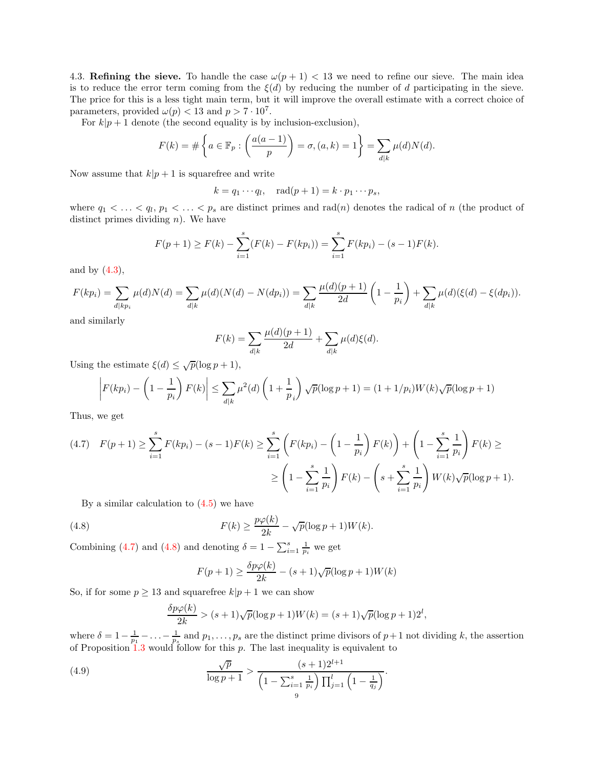4.3. Refining the sieve. To handle the case  $\omega(p+1)$  < 13 we need to refine our sieve. The main idea is to reduce the error term coming from the  $\xi(d)$  by reducing the number of d participating in the sieve. The price for this is a less tight main term, but it will improve the overall estimate with a correct choice of parameters, provided  $\omega(p) < 13$  and  $p > 7 \cdot 10^7$ .

For  $k|p+1$  denote (the second equality is by inclusion-exclusion),

$$
F(k) = \#\left\{a \in \mathbb{F}_p : \left(\frac{a(a-1)}{p}\right) = \sigma, (a,k) = 1\right\} = \sum_{d|k} \mu(d)N(d).
$$

Now assume that  $k|p+1$  is squarefree and write

 $k = q_1 \cdots q_l, \quad \text{rad}(p+1) = k \cdot p_1 \cdots p_s,$ 

where  $q_1 < \ldots < q_l$ ,  $p_1 < \ldots < p_s$  are distinct primes and rad(n) denotes the radical of n (the product of distinct primes dividing  $n$ ). We have

$$
F(p+1) \ge F(k) - \sum_{i=1}^{s} (F(k) - F(kp_i)) = \sum_{i=1}^{s} F(kp_i) - (s-1)F(k).
$$

and by  $(4.3)$ ,

$$
F(kp_i) = \sum_{d|kp_i} \mu(d)N(d) = \sum_{d|k} \mu(d)(N(d) - N(dp_i)) = \sum_{d|k} \frac{\mu(d)(p+1)}{2d} \left(1 - \frac{1}{p_i}\right) + \sum_{d|k} \mu(d)(\xi(d) - \xi(dp_i)).
$$

and similarly

$$
F(k) = \sum_{d|k} \frac{\mu(d)(p+1)}{2d} + \sum_{d|k} \mu(d)\xi(d).
$$

Using the estimate  $\xi(d) \leq \sqrt{p}(\log p + 1)$ ,

$$
\left| F(kp_i) - \left(1 - \frac{1}{p_i}\right) F(k) \right| \le \sum_{d|k} \mu^2(d) \left(1 + \frac{1}{p_i}\right) \sqrt{p}(\log p + 1) = (1 + 1/p_i)W(k)\sqrt{p}(\log p + 1)
$$

Thus, we get

<span id="page-8-0"></span>
$$
(4.7) \quad F(p+1) \ge \sum_{i=1}^{s} F(kp_i) - (s-1)F(k) \ge \sum_{i=1}^{s} \left( F(kp_i) - \left(1 - \frac{1}{p_i}\right)F(k)\right) + \left(1 - \sum_{i=1}^{s} \frac{1}{p_i}\right)F(k) \ge
$$

$$
\ge \left(1 - \sum_{i=1}^{s} \frac{1}{p_i}\right)F(k) - \left(s + \sum_{i=1}^{s} \frac{1}{p_i}\right)W(k)\sqrt{p}(\log p + 1).
$$

By a similar calculation to  $(4.5)$  we have

(4.8) 
$$
F(k) \geq \frac{p\varphi(k)}{2k} - \sqrt{p}(\log p + 1)W(k).
$$

Combining [\(4.7\)](#page-8-0) and [\(4.8\)](#page-8-1) and denoting  $\delta = 1 - \sum_{i=1}^{s} \frac{1}{p_i}$  we get

<span id="page-8-1"></span>
$$
F(p+1) \ge \frac{\delta p\varphi(k)}{2k} - (s+1)\sqrt{p}(\log p + 1)W(k)
$$

So, if for some  $p \ge 13$  and squarefree  $k|p+1$  we can show

<span id="page-8-2"></span>
$$
\frac{\delta p\varphi(k)}{2k} > (s+1)\sqrt{p}(\log p+1)W(k) = (s+1)\sqrt{p}(\log p+1)2^l,
$$

where  $\delta = 1 - \frac{1}{p_1} - \ldots - \frac{1}{p_s}$  and  $p_1, \ldots, p_s$  are the distinct prime divisors of  $p+1$  not dividing k, the assertion of Proposition  $1.3$  $1.3$  would follow for this  $p$ . The last inequality is equivalent to

(4.9) 
$$
\frac{\sqrt{p}}{\log p + 1} > \frac{(s+1)2^{l+1}}{\left(1 - \sum_{i=1}^{s} \frac{1}{p_i}\right) \prod_{j=1}^{l} \left(1 - \frac{1}{q_j}\right)}.
$$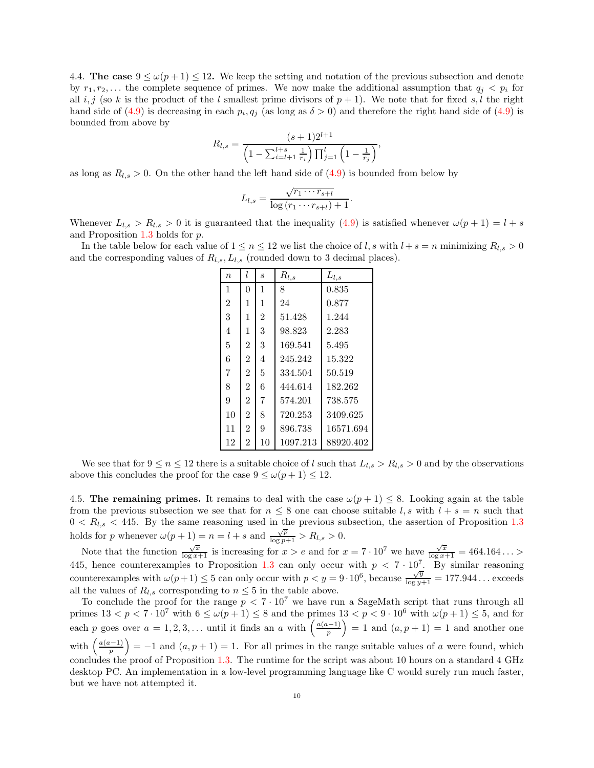<span id="page-9-0"></span>4.4. The case  $9 \leq \omega(p+1) \leq 12$ . We keep the setting and notation of the previous subsection and denote by  $r_1, r_2, \ldots$  the complete sequence of primes. We now make the additional assumption that  $q_i < p_i$  for all i, j (so k is the product of the l smallest prime divisors of  $p + 1$ ). We note that for fixed s, l the right hand side of [\(4.9\)](#page-8-2) is decreasing in each  $p_i, q_j$  (as long as  $\delta > 0$ ) and therefore the right hand side of (4.9) is bounded from above by

$$
R_{l,s} = \frac{(s+1)2^{l+1}}{\left(1 - \sum_{i=l+1}^{l+s} \frac{1}{r_i}\right) \prod_{j=1}^{l} \left(1 - \frac{1}{r_j}\right)},
$$

as long as  $R_{l,s} > 0$ . On the other hand the left hand side of  $(4.9)$  is bounded from below by

$$
L_{l,s} = \frac{\sqrt{r_1 \cdots r_{s+l}}}{\log (r_1 \cdots r_{s+l}) + 1}.
$$

Whenever  $L_{l,s} > R_{l,s} > 0$  it is guaranteed that the inequality [\(4.9\)](#page-8-2) is satisfied whenever  $\omega(p+1) = l+s$ and Proposition [1.3](#page-1-1) holds for p.

In the table below for each value of  $1 \le n \le 12$  we list the choice of l, s with  $l + s = n$  minimizing  $R_{l,s} > 0$ and the corresponding values of  $R_{l,s}, L_{l,s}$  (rounded down to 3 decimal places).

| $\eta$         | l              | S              | $R_{l,s}$ | $L_{l,s}$ |
|----------------|----------------|----------------|-----------|-----------|
| 1              | $\Omega$       | 1              | 8         | 0.835     |
| $\overline{2}$ | 1              | 1              | 24        | 0.877     |
| 3              | 1              | $\overline{2}$ | 51.428    | 1.244     |
| 4              | 1              | 3              | 98.823    | 2.283     |
| 5              | $\overline{2}$ | 3              | 169.541   | 5.495     |
| 6              | $\overline{2}$ | 4              | 245.242   | 15.322    |
| 7              | $\overline{2}$ | 5              | 334.504   | 50.519    |
| 8              | $\overline{2}$ | 6              | 444.614   | 182.262   |
| 9              | $\overline{2}$ | 7              | 574.201   | 738.575   |
| 10             | $\overline{2}$ | 8              | 720.253   | 3409.625  |
| 11             | $\overline{2}$ | 9              | 896.738   | 16571.694 |
| 12             | $\overline{2}$ | 10             | 1097.213  | 88920.402 |

We see that for  $9 \le n \le 12$  there is a suitable choice of l such that  $L_{l,s} > R_{l,s} > 0$  and by the observations above this concludes the proof for the case  $9 \leq \omega(p+1) \leq 12$ .

4.5. The remaining primes. It remains to deal with the case  $\omega(p+1) \leq 8$ . Looking again at the table from the previous subsection we see that for  $n \leq 8$  one can choose suitable l, s with  $l + s = n$  such that  $0 < R_{l,s} < 445$ . By the same reasoning used in the previous subsection, the assertion of Proposition [1.3](#page-1-1) holds for p whenever  $\omega(p+1) = n = l + s$  and  $\frac{\sqrt{p}}{\log p+1} > R_{l,s} > 0$ .

Note that the function  $\frac{\sqrt{x}}{\log x+1}$  is increasing for  $x > e$  and for  $x = 7 \cdot 10^7$  we have  $\frac{\sqrt{x}}{\log x+1} = 464.164...$ 445, hence counterexamples to Proposition [1.3](#page-1-1) can only occur with  $p < 7 \cdot 10^7$ . By similar reasoning counterexamples with  $\omega(p+1) \le 5$  can only occur with  $p < y = 9 \cdot 10^6$ , because  $\frac{\sqrt{y}}{\log y+1} = 177.944...$  exceeds all the values of  $R_{l,s}$  corresponding to  $n \leq 5$  in the table above.

To conclude the proof for the range  $p < 7 \cdot 10^7$  we have run a SageMath script that runs through all primes  $13 < p < 7 \cdot 10^7$  with  $6 \le \omega(p+1) \le 8$  and the primes  $13 < p < 9 \cdot 10^6$  with  $\omega(p+1) \le 5$ , and for each p goes over  $a = 1, 2, 3, \ldots$  until it finds an a with  $\left(\frac{a(a-1)}{p}\right)$  $= 1$  and  $(a, p + 1) = 1$  and another one with  $\left(\frac{a(a-1)}{p}\right)$  $= -1$  and  $(a, p + 1) = 1$ . For all primes in the range suitable values of a were found, which concludes the proof of Proposition [1.3.](#page-1-1) The runtime for the script was about 10 hours on a standard 4 GHz desktop PC. An implementation in a low-level programming language like C would surely run much faster, but we have not attempted it.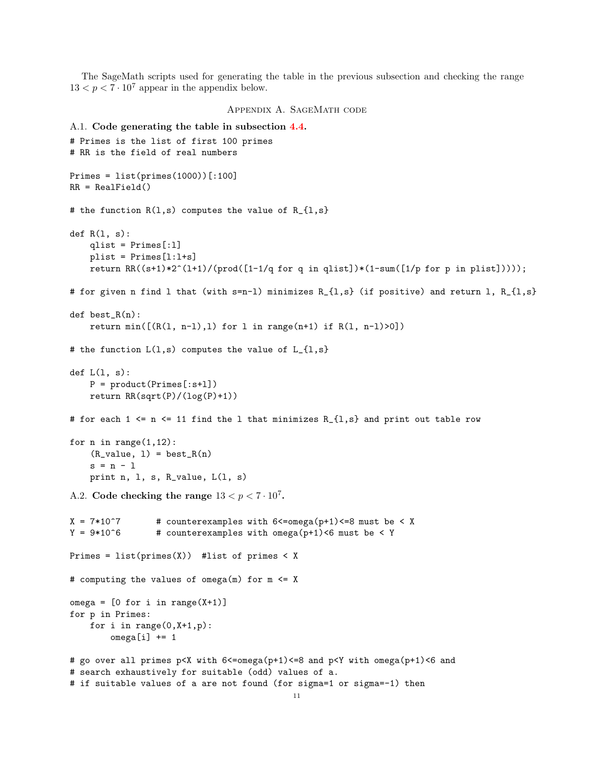The SageMath scripts used for generating the table in the previous subsection and checking the range  $13 < p < 7 \cdot 10^7$  appear in the appendix below.

## Appendix A. SageMath code

```
A.1. Code generating the table in subsection 4.4.
# Primes is the list of first 100 primes
# RR is the field of real numbers
Primes = list(primes(1000))[:100]
RR = RealField()# the function R(1,s) computes the value of R_{1,s}def R(1, s):
    qlist = Primes[:l]
    plist = Primes[l:l+s]
    return RR((s+1)*2^(l+1)/(prod([1-1/q for q in qlist])*(1-sum([1/p for p in plist]))));
# for given n find l that (with s=n-l) minimizes R_{l,s} (if positive) and return l, R_{l,s}
def best_R(n):
    return min([(R(1, n-1), 1) for 1 in range(n+1) if R(1, n-1) > 0])
# the function L(1,s) computes the value of L_{1,s}}
def L(1, s):
    P = product(Primes[:s+l])
    return RR(sqrt(P)/(log(P)+1))
# for each 1 \leq n \leq 11 find the 1 that minimizes R<sub>1</sub>{1,s} and print out table row
for n in range(1,12):
    (R_value, 1) = best_R(n)s = n - 1print n, l, s, R_value, L(l, s)
A.2. Code checking the range 13 < p < 7 \cdot 10^7.
X = 7*10°7 # counterexamples with 6 <= omega(p+1) <= 8 must be < X
Y = 9*10^6 # counterexamples with omega(p+1)<6 must be < Y
Primes = list(primes(X)) #list of primes < X
# computing the values of omega(m) for m <= X
omega = [0 \text{ for } i \text{ in } range(X+1)]for p in Primes:
    for i in range(0, X+1, p):
        omega[i] += 1
# go over all primes p<X with 6<=omega(p+1)<=8 and p<Y with omega(p+1)<6 and
# search exhaustively for suitable (odd) values of a.
# if suitable values of a are not found (for sigma=1 or sigma=-1) then
                                              11
```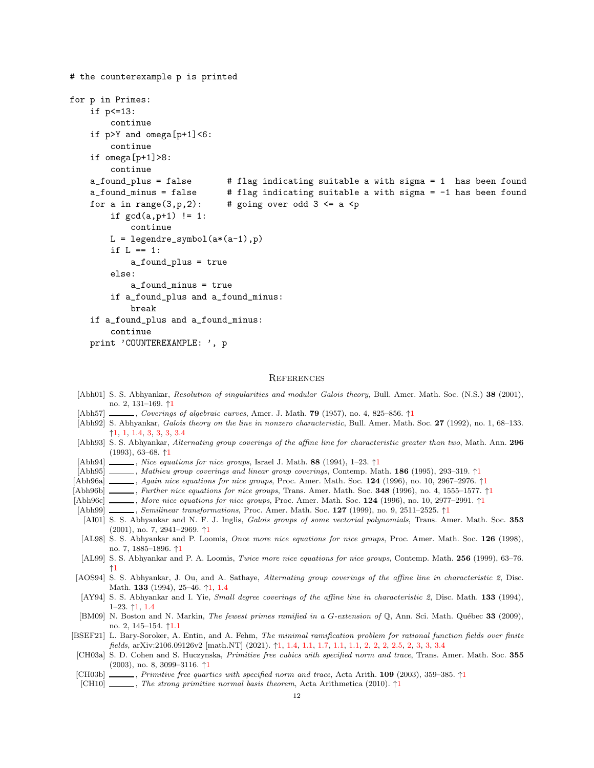```
# the counterexample p is printed
for p in Primes:
    if p<=13:
        continue
    if p>Y and omega[p+1]<6:
        continue
    if omega[p+1]>8:
        continue
    a_found_plus = false # flag indicating suitable a with sigma = 1 has been found
    a_found_minus = false # flag indicating suitable a with sigma = -1 has been found
    for a in range(3,p,2): # going over odd 3 \le a \le pif gcd(a, p+1) != 1:
            continue
       L = legendre\_symbol(a*(a-1), p)if L == 1:
            a_found_plus = true
        else:
            a_found_minus = true
        if a_found_plus and a_found_minus:
           break
    if a_found_plus and a_found_minus:
        continue
   print 'COUNTEREXAMPLE: ', p
```
# **REFERENCES**

- <span id="page-11-14"></span>[Abh01] S. S. Abhyankar, Resolution of singularities and modular Galois theory, Bull. Amer. Math. Soc. (N.S.) 38 (2001), no. 2, 131–169. ↑[1](#page-0-0)
- <span id="page-11-0"></span>[Abh57] , Coverings of algebraic curves, Amer. J. Math. **79** ([1](#page-0-0)957), no. 4, 825–856. ↑
- <span id="page-11-1"></span>[Abh92] S. Abhyankar, Galois theory on the line in nonzero characteristic, Bull. Amer. Math. Soc. 27 (1992), no. 1, 68–133. ↑[1,](#page-0-0) [1,](#page-1-0) [1.4,](#page-1-3) [3,](#page-4-0) [3,](#page-4-2) [3,](#page-4-1) [3.4](#page-5-0)
- <span id="page-11-2"></span>[Abh93] S. S. Abhyankar, Alternating group coverings of the affine line for characteristic greater than two, Math. Ann. 296 (1993), 63–68. ↑[1](#page-0-0)
- <span id="page-11-5"></span>[Abh94]  $\_\_\_\_\_\$ , Nice equations for nice groups, Israel J. Math. 88 ([1](#page-0-0)994), 1–23.  $\uparrow$ 1
- <span id="page-11-13"></span> $[Abh95]$  , Mathieu group coverings and linear group coverings, Contemp. Math. [1](#page-0-0)86 (1995), 293–319.  $\uparrow$ 1
- <span id="page-11-7"></span>[Abh96a] , Again nice equations for nice groups, Proc. Amer. Math. Soc. [1](#page-0-0)24 (1996), no. 10, 2967–2976. ↑1
- <span id="page-11-6"></span>[Abh96b] , Further nice equations for nice groups, Trans. Amer. Math. Soc. 348 ([1](#page-0-0)996), no. 4, 1555–1577. ↑1
- <span id="page-11-8"></span>[Abh96c] , More nice equations for nice groups, Proc. Amer. Math. Soc. [1](#page-0-0)24 (1996), no. 10, 2977–2991. ↑1
- <span id="page-11-11"></span>[Abh99] , Semilinear transformations, Proc. Amer. Math. Soc. [1](#page-0-0)27 (1999), no. 9, 2511–2525. ↑1
- <span id="page-11-12"></span>[AI01] S. S. Abhyankar and N. F. J. Inglis, *Galois groups of some vectorial polynomials*, Trans. Amer. Math. Soc. 353 (2001), no. 7, 2941–2969. ↑[1](#page-0-0)
- <span id="page-11-9"></span>[AL98] S. S. Abhyankar and P. Loomis, Once more nice equations for nice groups, Proc. Amer. Math. Soc. 126 (1998), no. 7, 1885–1896. ↑[1](#page-0-0)
- <span id="page-11-10"></span>[AL99] S. S. Abhyankar and P. A. Loomis, Twice more nice equations for nice groups, Contemp. Math. 256 (1999), 63–76. ↑[1](#page-0-0)
- <span id="page-11-3"></span>[AOS94] S. S. Abhyankar, J. Ou, and A. Sathaye, Alternating group coverings of the affine line in characteristic 2, Disc. Math. 133 (1994), 25–46. ↑[1,](#page-0-0) [1.4](#page-1-3)
- <span id="page-11-4"></span>[AY94] S. S. Abhyankar and I. Yie, *Small degree coverings of the affine line in characteristic 2*, Disc. Math. 133 (1994), 1–23. ↑[1,](#page-0-0) [1.4](#page-1-3)
- <span id="page-11-19"></span>[BM09] N. Boston and N. Markin, The fewest primes ramified in a G-extension of Q, Ann. Sci. Math. Québec 33 (2009), no. 2, 145–154. ↑[1.1](#page-1-4)
- <span id="page-11-15"></span>[BSEF21] L. Bary-Soroker, A. Entin, and A. Fehm, The minimal ramification problem for rational function fields over finite fields, arXiv:2106.09126v2 [math.NT] (2021).  $\uparrow$ [1,](#page-1-0) [1.4,](#page-1-3) [1.1,](#page-2-1) [1.7,](#page-1-2) 1.1, 1.1, [2,](#page-3-0) 2, 2, 2, [3,](#page-4-4) 3, 3, 3, 3, 4
- <span id="page-11-16"></span>[CH03a] S. D. Cohen and S. Huczynska, Primitive free cubics with specified norm and trace, Trans. Amer. Math. Soc. 355 (2003), no. 8, 3099–3116. ↑[1](#page-1-1)
- <span id="page-11-17"></span>[CH03b] , Primitive free quartics with specified norm and trace, Acta Arith. [1](#page-1-1)09 (2003), 359–385. ↑1
- <span id="page-11-18"></span>[CH[1](#page-1-1)0]  $\ldots$ , The strong primitive normal basis theorem, Acta Arithmetica (2010).  $\uparrow$ 1